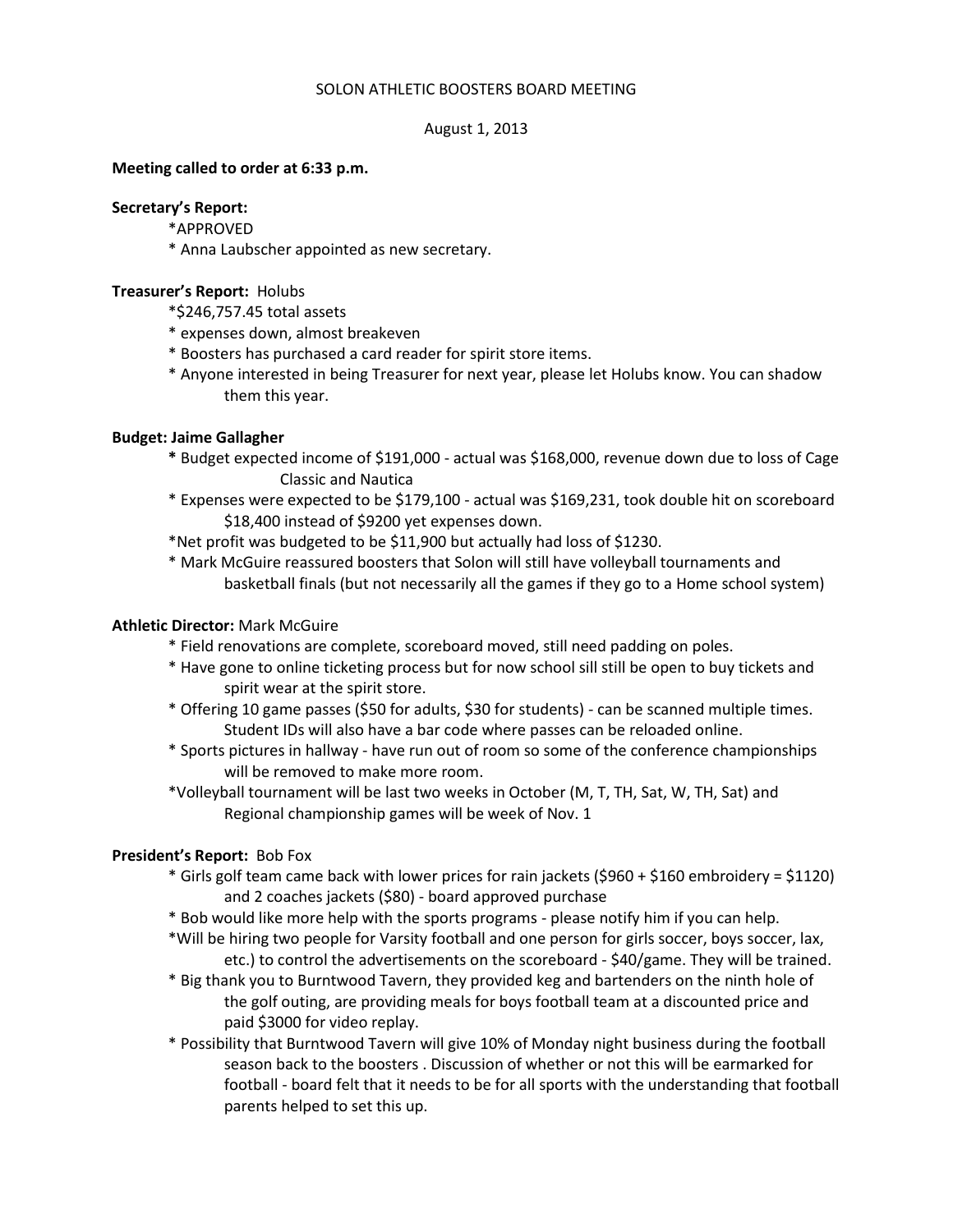# SOLON ATHLETIC BOOSTERS BOARD MEETING

#### August 1, 2013

### **Meeting called to order at 6:33 p.m.**

### **Secretary's Report:**

- \*APPROVED
- \* Anna Laubscher appointed as new secretary.

### **Treasurer's Report:** Holubs

\*\$246,757.45 total assets

- \* expenses down, almost breakeven
- \* Boosters has purchased a card reader for spirit store items.
- \* Anyone interested in being Treasurer for next year, please let Holubs know. You can shadow them this year.

### **Budget: Jaime Gallagher**

- **\*** Budget expected income of \$191,000 actual was \$168,000, revenue down due to loss of Cage Classic and Nautica
- \* Expenses were expected to be \$179,100 actual was \$169,231, took double hit on scoreboard \$18,400 instead of \$9200 yet expenses down.
- \*Net profit was budgeted to be \$11,900 but actually had loss of \$1230.
- \* Mark McGuire reassured boosters that Solon will still have volleyball tournaments and basketball finals (but not necessarily all the games if they go to a Home school system)

# **Athletic Director:** Mark McGuire

- \* Field renovations are complete, scoreboard moved, still need padding on poles.
- \* Have gone to online ticketing process but for now school sill still be open to buy tickets and spirit wear at the spirit store.
- \* Offering 10 game passes (\$50 for adults, \$30 for students) can be scanned multiple times. Student IDs will also have a bar code where passes can be reloaded online.
- \* Sports pictures in hallway have run out of room so some of the conference championships will be removed to make more room.
- \*Volleyball tournament will be last two weeks in October (M, T, TH, Sat, W, TH, Sat) and Regional championship games will be week of Nov. 1

# **President's Report:** Bob Fox

- \* Girls golf team came back with lower prices for rain jackets (\$960 + \$160 embroidery = \$1120) and 2 coaches jackets (\$80) - board approved purchase
- \* Bob would like more help with the sports programs please notify him if you can help.
- \*Will be hiring two people for Varsity football and one person for girls soccer, boys soccer, lax, etc.) to control the advertisements on the scoreboard - \$40/game. They will be trained.
- \* Big thank you to Burntwood Tavern, they provided keg and bartenders on the ninth hole of the golf outing, are providing meals for boys football team at a discounted price and paid \$3000 for video replay.
- \* Possibility that Burntwood Tavern will give 10% of Monday night business during the football season back to the boosters . Discussion of whether or not this will be earmarked for football - board felt that it needs to be for all sports with the understanding that football parents helped to set this up.